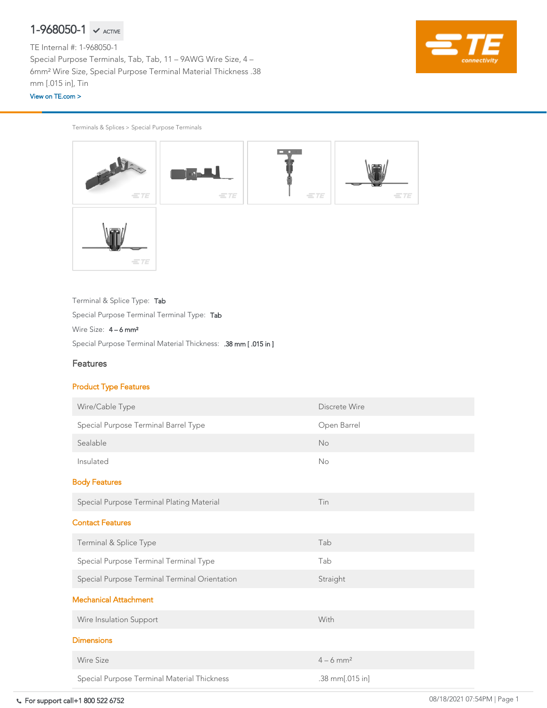Terminals & Splices > Special Purpose Terminals



Special Purpose Terminal Material Thickness: .38 mm [ .015 in ]

Terminal & Splice Type: Tab

Special Purpose Terminal Terminal Type: Tab

Wire Size:  $4 - 6$  mm<sup>2</sup>

### Features

#### Product Type Features

| Wire/Cable Type                               | Discrete Wire           |
|-----------------------------------------------|-------------------------|
| Special Purpose Terminal Barrel Type          | Open Barrel             |
| Sealable                                      | <b>No</b>               |
| Insulated                                     | <b>No</b>               |
| <b>Body Features</b>                          |                         |
| Special Purpose Terminal Plating Material     | Tin                     |
| <b>Contact Features</b>                       |                         |
| Terminal & Splice Type                        | Tab                     |
| Special Purpose Terminal Terminal Type        | Tab                     |
| Special Purpose Terminal Terminal Orientation | Straight                |
| <b>Mechanical Attachment</b>                  |                         |
| Wire Insulation Support                       | With                    |
| <b>Dimensions</b>                             |                         |
| <b>Wire Size</b>                              | $4 - 6$ mm <sup>2</sup> |
| Special Purpose Terminal Material Thickness   | $.38$ mm $[.015$ in]    |

# $1-968050-1$   $\checkmark$  active

TE Internal #: 1-968050-1 Special Purpose Terminals, Tab, Tab, 11 – 9AWG Wire Size, 4 – 6mm² Wire Size, Special Purpose Terminal Material Thickness .38 mm [.015 in], Tin

#### [View on TE.com >](https://www.te.com/usa-en/product-1-968050-1.html)

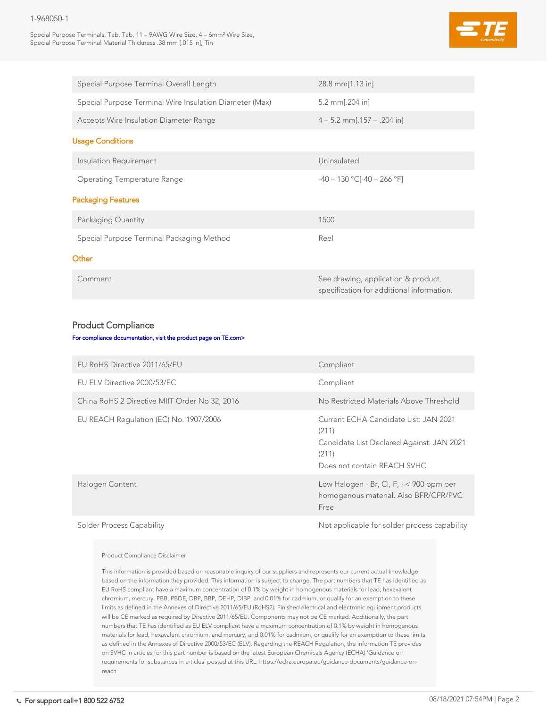#### 1-968050-1

Special Purpose Terminals, Tab, Tab, 11 – 9AWG Wire Size, 4 – 6mm² Wire Size, Special Purpose Terminal Material Thickness .38 mm [.015 in], Tin



| Special Purpose Terminal Overall Length                                                      | $28.8$ mm $[1.13$ in]                                                           |
|----------------------------------------------------------------------------------------------|---------------------------------------------------------------------------------|
| Special Purpose Terminal Wire Insulation Diameter (Max)                                      | 5.2 mm $[.204]$ in]                                                             |
| <b>Accepts Wire Insulation Diameter Range</b>                                                | $4 - 5.2$ mm[.157 – .204 in]                                                    |
| <b>Usage Conditions</b>                                                                      |                                                                                 |
| Insulation Requirement                                                                       | Uninsulated                                                                     |
| <b>Operating Temperature Range</b>                                                           | $-40 - 130$ °C[ $-40 - 266$ °F]                                                 |
| <b>Packaging Features</b>                                                                    |                                                                                 |
| Packaging Quantity                                                                           | 1500                                                                            |
| Special Purpose Terminal Packaging Method                                                    | Reel                                                                            |
| Other                                                                                        |                                                                                 |
| Comment                                                                                      | See drawing, application & product<br>specification for additional information. |
| <b>Product Compliance</b><br>For compliance documentation, visit the product page on TE.com> |                                                                                 |
| EU RoHS Directive 2011/65/EU                                                                 | Compliant                                                                       |
|                                                                                              |                                                                                 |

EU ELV Directive 2000/53/EC COMPLIANT Compliant

China RoHS 2 Directive MIIT Order No. 32, 2016 No. No Restricted Materials Above Threshold

| <u>UTILIU INUITU E DILUULIVU IVIIIT UTUUT INU UE, EUTU</u> | <u>I TU LIGOLIIGLUS IVIULUIDI IN VULIDIUI UN I</u>                                                                                  |
|------------------------------------------------------------|-------------------------------------------------------------------------------------------------------------------------------------|
| EU REACH Regulation (EC) No. 1907/2006                     | Current ECHA Candidate List: JAN 2021<br>(211)<br>Candidate List Declared Against: JAN 2021<br>(211)<br>Does not contain REACH SVHC |
| Halogen Content                                            | Low Halogen - Br, Cl, F, $I < 900$ ppm per<br>homogenous material. Also BFR/CFR/PVC<br>Free                                         |
|                                                            |                                                                                                                                     |

Solder Process Capability and Solder Process capability and Solder process capability

Product Compliance Disclaimer

This information is provided based on reasonable inquiry of our suppliers and represents our current actual knowledge based on the information they provided. This information is subject to change. The part numbers that TE has identified as EU RoHS compliant have a maximum concentration of 0.1% by weight in homogenous materials for lead, hexavalent chromium, mercury, PBB, PBDE, DBP, BBP, DEHP, DIBP, and 0.01% for cadmium, or qualify for an exemption to these limits as defined in the Annexes of Directive 2011/65/EU (RoHS2). Finished electrical and electronic equipment products will be CE marked as required by Directive 2011/65/EU. Components may not be CE marked. Additionally, the part numbers that TE has identified as EU ELV compliant have a maximum concentration of 0.1% by weight in homogenous materials for lead, hexavalent chromium, and mercury, and 0.01% for cadmium, or qualify for an exemption to these limits as defined in the Annexes of Directive 2000/53/EC (ELV). Regarding the REACH Regulation, the information TE provides on SVHC in articles for this part number is based on the latest European Chemicals Agency (ECHA) 'Guidance on requirements for substances in articles' posted at this URL: https://echa.europa.eu/guidance-documents/guidance-onreach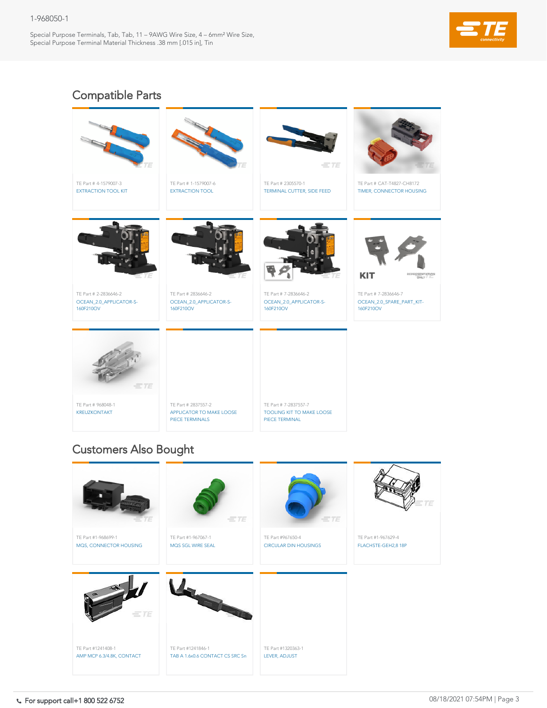#### 1-968050-1

Special Purpose Terminals, Tab, Tab, 11 – 9AWG Wire Size, 4 – 6mm² Wire Size, Special Purpose Terminal Material Thickness .38 mm [.015 in], Tin





TE Part # 7-2837557-7 [TOOLING KIT TO MAKE LOOSE](https://www.te.com/usa-en/product-7-2837557-7.html)  PIECE TERMINAL

TE Part # 2837557-2 [APPLICATOR TO MAKE LOOSE](https://www.te.com/usa-en/product-2837557-2.html)  PIECE TERMINALS

TE Part # 968048-1 [KREUZKONTAKT](https://www.te.com/usa-en/product-968048-1.html)





# Compatible Parts

## Customers Also Bought